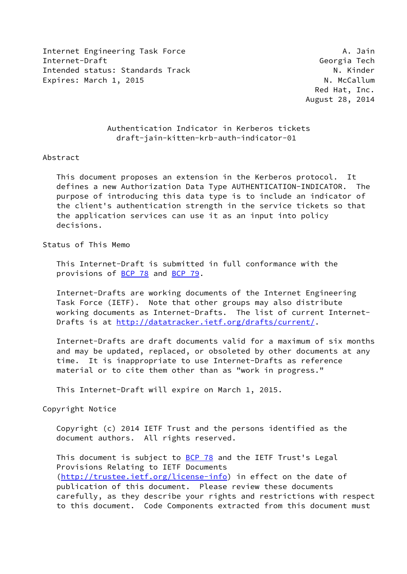Internet Engineering Task Force **A. A. Jain** Internet-Draft Georgia Tech Intended status: Standards Track N. Kinder Expires: March 1, 2015 N. McCallum

 Red Hat, Inc. August 28, 2014

# Authentication Indicator in Kerberos tickets draft-jain-kitten-krb-auth-indicator-01

#### Abstract

 This document proposes an extension in the Kerberos protocol. It defines a new Authorization Data Type AUTHENTICATION-INDICATOR. The purpose of introducing this data type is to include an indicator of the client's authentication strength in the service tickets so that the application services can use it as an input into policy decisions.

#### Status of This Memo

 This Internet-Draft is submitted in full conformance with the provisions of **BCP 78** and **BCP 79**.

 Internet-Drafts are working documents of the Internet Engineering Task Force (IETF). Note that other groups may also distribute working documents as Internet-Drafts. The list of current Internet Drafts is at<http://datatracker.ietf.org/drafts/current/>.

 Internet-Drafts are draft documents valid for a maximum of six months and may be updated, replaced, or obsoleted by other documents at any time. It is inappropriate to use Internet-Drafts as reference material or to cite them other than as "work in progress."

This Internet-Draft will expire on March 1, 2015.

Copyright Notice

 Copyright (c) 2014 IETF Trust and the persons identified as the document authors. All rights reserved.

This document is subject to **[BCP 78](https://datatracker.ietf.org/doc/pdf/bcp78)** and the IETF Trust's Legal Provisions Relating to IETF Documents [\(http://trustee.ietf.org/license-info](http://trustee.ietf.org/license-info)) in effect on the date of publication of this document. Please review these documents carefully, as they describe your rights and restrictions with respect to this document. Code Components extracted from this document must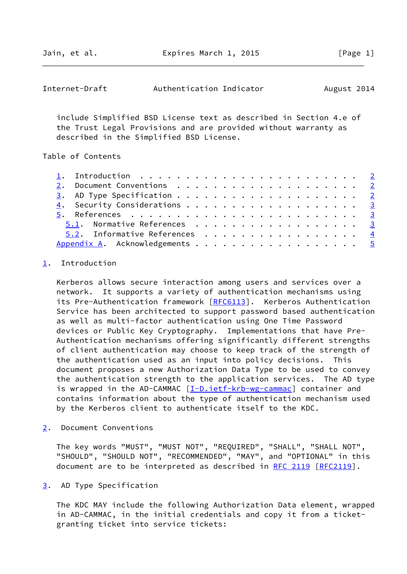Jain, et al. Expires March 1, 2015 [Page 1]

<span id="page-1-1"></span>

| Internet-Draft | Authentication Indicator |  | August 2014 |  |
|----------------|--------------------------|--|-------------|--|
|----------------|--------------------------|--|-------------|--|

 include Simplified BSD License text as described in Section 4.e of the Trust Legal Provisions and are provided without warranty as described in the Simplified BSD License.

#### Table of Contents

|  | 1. Introduction $\ldots \ldots \ldots \ldots \ldots \ldots \ldots \ldots \ldots$ |  |
|--|----------------------------------------------------------------------------------|--|
|  |                                                                                  |  |
|  |                                                                                  |  |
|  |                                                                                  |  |
|  |                                                                                  |  |
|  | 5.1. Normative References 3                                                      |  |
|  | 5.2. Informative References 4                                                    |  |
|  | Appendix A. Acknowledgements 5                                                   |  |

## <span id="page-1-0"></span>[1](#page-1-0). Introduction

 Kerberos allows secure interaction among users and services over a network. It supports a variety of authentication mechanisms using its Pre-Authentication framework [\[RFC6113](https://datatracker.ietf.org/doc/pdf/rfc6113)]. Kerberos Authentication Service has been architected to support password based authentication as well as multi-factor authentication using One Time Password devices or Public Key Cryptography. Implementations that have Pre- Authentication mechanisms offering significantly different strengths of client authentication may choose to keep track of the strength of the authentication used as an input into policy decisions. This document proposes a new Authorization Data Type to be used to convey the authentication strength to the application services. The AD type is wrapped in the AD-CAMMAC [\[I-D.ietf-krb-wg-cammac](#page-3-4)] container and contains information about the type of authentication mechanism used by the Kerberos client to authenticate itself to the KDC.

<span id="page-1-2"></span>[2](#page-1-2). Document Conventions

 The key words "MUST", "MUST NOT", "REQUIRED", "SHALL", "SHALL NOT", "SHOULD", "SHOULD NOT", "RECOMMENDED", "MAY", and "OPTIONAL" in this document are to be interpreted as described in [RFC 2119 \[RFC2119](https://datatracker.ietf.org/doc/pdf/rfc2119)].

<span id="page-1-3"></span>[3](#page-1-3). AD Type Specification

 The KDC MAY include the following Authorization Data element, wrapped in AD-CAMMAC, in the initial credentials and copy it from a ticket granting ticket into service tickets: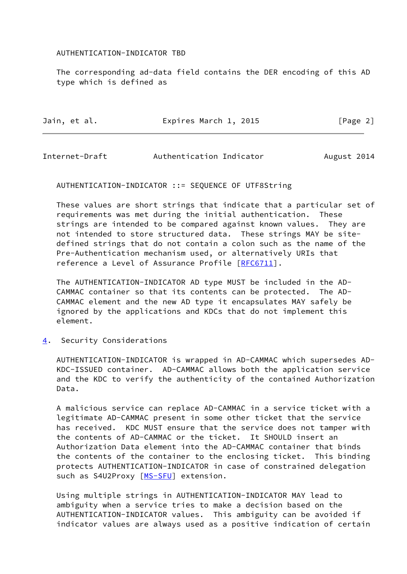## AUTHENTICATION-INDICATOR TBD

 The corresponding ad-data field contains the DER encoding of this AD type which is defined as

| Jain, et al. | Expires March 1, 2015 | [Page 2] |
|--------------|-----------------------|----------|
|              |                       |          |

<span id="page-2-1"></span>Internet-Draft Authentication Indicator August 2014

AUTHENTICATION-INDICATOR ::= SEQUENCE OF UTF8String

 These values are short strings that indicate that a particular set of requirements was met during the initial authentication. These strings are intended to be compared against known values. They are not intended to store structured data. These strings MAY be site defined strings that do not contain a colon such as the name of the Pre-Authentication mechanism used, or alternatively URIs that reference a Level of Assurance Profile [\[RFC6711](https://datatracker.ietf.org/doc/pdf/rfc6711)].

 The AUTHENTICATION-INDICATOR AD type MUST be included in the AD- CAMMAC container so that its contents can be protected. The AD- CAMMAC element and the new AD type it encapsulates MAY safely be ignored by the applications and KDCs that do not implement this element.

<span id="page-2-0"></span>[4](#page-2-0). Security Considerations

 AUTHENTICATION-INDICATOR is wrapped in AD-CAMMAC which supersedes AD- KDC-ISSUED container. AD-CAMMAC allows both the application service and the KDC to verify the authenticity of the contained Authorization Data.

 A malicious service can replace AD-CAMMAC in a service ticket with a legitimate AD-CAMMAC present in some other ticket that the service has received. KDC MUST ensure that the service does not tamper with the contents of AD-CAMMAC or the ticket. It SHOULD insert an Authorization Data element into the AD-CAMMAC container that binds the contents of the container to the enclosing ticket. This binding protects AUTHENTICATION-INDICATOR in case of constrained delegation such as S4U2Proxy [[MS-SFU](#page-3-5)] extension.

 Using multiple strings in AUTHENTICATION-INDICATOR MAY lead to ambiguity when a service tries to make a decision based on the AUTHENTICATION-INDICATOR values. This ambiguity can be avoided if indicator values are always used as a positive indication of certain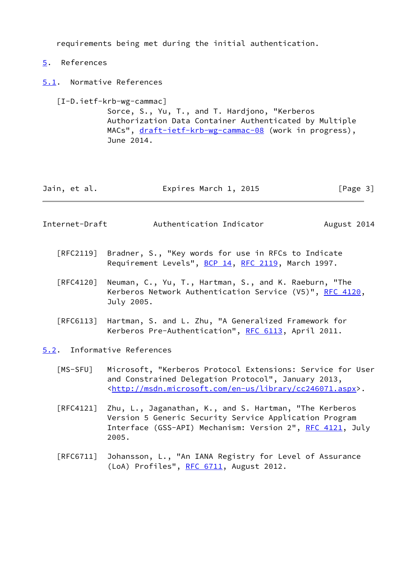requirements being met during the initial authentication.

- <span id="page-3-0"></span>[5](#page-3-0). References
- <span id="page-3-1"></span>[5.1](#page-3-1). Normative References

<span id="page-3-4"></span>[I-D.ietf-krb-wg-cammac]

 Sorce, S., Yu, T., and T. Hardjono, "Kerberos Authorization Data Container Authenticated by Multiple MACs", [draft-ietf-krb-wg-cammac-08](https://datatracker.ietf.org/doc/pdf/draft-ietf-krb-wg-cammac-08) (work in progress), June 2014.

| Expires March 1, 2015<br>Jain, et al. | [Page 3] |
|---------------------------------------|----------|
|---------------------------------------|----------|

<span id="page-3-3"></span>

| Internet-Draft | Authentication Indicator | August 2014 |
|----------------|--------------------------|-------------|
|----------------|--------------------------|-------------|

- [RFC2119] Bradner, S., "Key words for use in RFCs to Indicate Requirement Levels", [BCP 14](https://datatracker.ietf.org/doc/pdf/bcp14), [RFC 2119](https://datatracker.ietf.org/doc/pdf/rfc2119), March 1997.
- [RFC4120] Neuman, C., Yu, T., Hartman, S., and K. Raeburn, "The Kerberos Network Authentication Service (V5)", [RFC 4120](https://datatracker.ietf.org/doc/pdf/rfc4120), July 2005.
- [RFC6113] Hartman, S. and L. Zhu, "A Generalized Framework for Kerberos Pre-Authentication", [RFC 6113](https://datatracker.ietf.org/doc/pdf/rfc6113), April 2011.
- <span id="page-3-5"></span><span id="page-3-2"></span>[5.2](#page-3-2). Informative References
	- [MS-SFU] Microsoft, "Kerberos Protocol Extensions: Service for User and Constrained Delegation Protocol", January 2013, <[http://msdn.microsoft.com/en-us/library/cc246071.aspx>](http://msdn.microsoft.com/en-us/library/cc246071.aspx).
	- [RFC4121] Zhu, L., Jaganathan, K., and S. Hartman, "The Kerberos Version 5 Generic Security Service Application Program Interface (GSS-API) Mechanism: Version 2", [RFC 4121](https://datatracker.ietf.org/doc/pdf/rfc4121), July 2005.
	- [RFC6711] Johansson, L., "An IANA Registry for Level of Assurance (LoA) Profiles", [RFC 6711,](https://datatracker.ietf.org/doc/pdf/rfc6711) August 2012.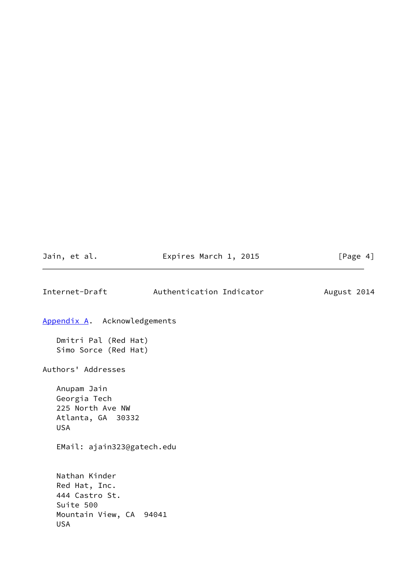<span id="page-4-1"></span><span id="page-4-0"></span>

| Jain, et al.                                                                                           | Expires March 1, 2015    | [Page 4]    |
|--------------------------------------------------------------------------------------------------------|--------------------------|-------------|
| Internet-Draft                                                                                         | Authentication Indicator | August 2014 |
| Appendix A. Acknowledgements                                                                           |                          |             |
| Dmitri Pal (Red Hat)<br>Simo Sorce (Red Hat)                                                           |                          |             |
| Authors' Addresses                                                                                     |                          |             |
| Anupam Jain<br>Georgia Tech<br>225 North Ave NW<br>Atlanta, GA 30332<br><b>USA</b>                     |                          |             |
| EMail: ajain323@gatech.edu                                                                             |                          |             |
| Nathan Kinder<br>Red Hat, Inc.<br>444 Castro St.<br>Suite 500<br>Mountain View, CA 94041<br><b>USA</b> |                          |             |